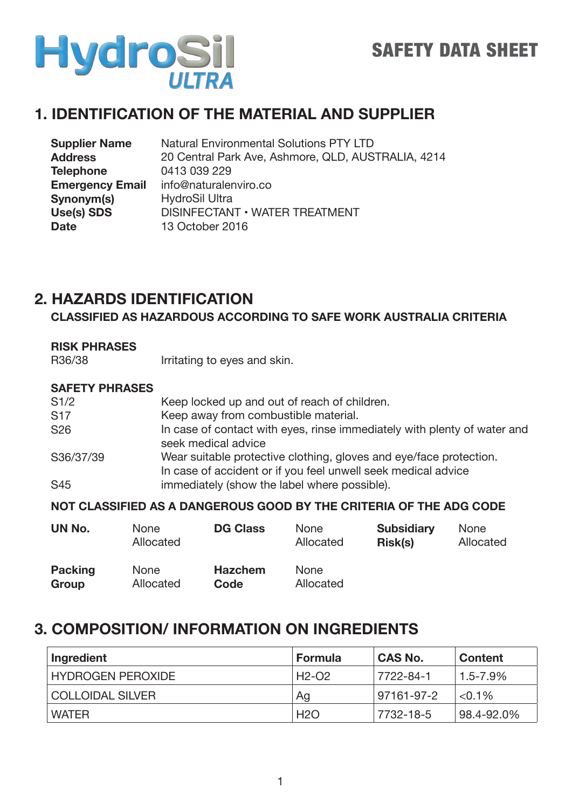

### **1. IDENTIFICATION OF THE MATERIAL AND SUPPLIER**

| <b>Supplier Name</b>   | <b>Natural Environmental Solutions PTY LTD</b>     |
|------------------------|----------------------------------------------------|
| <b>Address</b>         | 20 Central Park Ave, Ashmore, QLD, AUSTRALIA, 4214 |
| <b>Telephone</b>       | 0413 039 229                                       |
| <b>Emergency Email</b> | info@naturalenviro.co                              |
| Synonym(s)             | <b>HydroSil Ultra</b>                              |
| Use(s) SDS             | DISINFECTANT • WATER TREATMENT                     |
| <b>Date</b>            | 13 October 2016                                    |

### **2. HAZARDS IDENTIFICATION**

**CLASSIFIED AS HAZARDOUS ACCORDING TO SAFE WORK AUSTRALIA CRITERIA**

| seek medical advice   |                                |                                                                              |                                                                                                                                                                                                                                                                                                                                                                                                            |
|-----------------------|--------------------------------|------------------------------------------------------------------------------|------------------------------------------------------------------------------------------------------------------------------------------------------------------------------------------------------------------------------------------------------------------------------------------------------------------------------------------------------------------------------------------------------------|
|                       |                                |                                                                              |                                                                                                                                                                                                                                                                                                                                                                                                            |
|                       |                                |                                                                              |                                                                                                                                                                                                                                                                                                                                                                                                            |
|                       |                                |                                                                              |                                                                                                                                                                                                                                                                                                                                                                                                            |
|                       |                                |                                                                              |                                                                                                                                                                                                                                                                                                                                                                                                            |
|                       |                                |                                                                              |                                                                                                                                                                                                                                                                                                                                                                                                            |
|                       |                                |                                                                              | <b>None</b>                                                                                                                                                                                                                                                                                                                                                                                                |
| Allocated             | Allocated                      | <b>Risk(s)</b>                                                               | Allocated                                                                                                                                                                                                                                                                                                                                                                                                  |
| <b>SAFETY PHRASES</b> | <b>None</b><br><b>DG Class</b> | Irritating to eyes and skin.<br>Keep away from combustible material.<br>None | Keep locked up and out of reach of children.<br>In case of contact with eyes, rinse immediately with plenty of water and<br>Wear suitable protective clothing, gloves and eye/face protection.<br>In case of accident or if you feel unwell seek medical advice<br>immediately (show the label where possible).<br>NOT CLASSIFIED AS A DANGEROUS GOOD BY THE CRITERIA OF THE ADG CODE<br><b>Subsidiary</b> |

| <b>Packing</b> | <b>None</b> | <b>Hazchem</b> | <b>None</b> |
|----------------|-------------|----------------|-------------|
| Group          | Allocated   | Code           | Allocated   |

### **3. COMPOSITION/ INFORMATION ON INGREDIENTS**

| Ingredient               | Formula | <b>CAS No.</b> | <b>Content</b>   |
|--------------------------|---------|----------------|------------------|
| <b>HYDROGEN PEROXIDE</b> | H2-O2   | 7722-84-1      | $1.5$ -7.9% $\,$ |
| COLLOIDAL SILVER         | Ag      | 97161-97-2     | $< 0.1\%$        |
| <b>WATER</b>             | H2O     | 7732-18-5      | 98.4-92.0%       |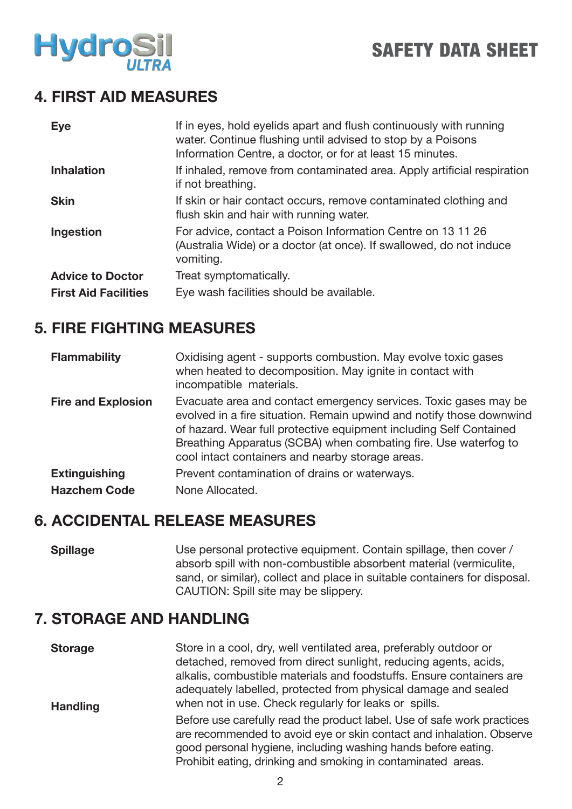

### **4. FIRST AID MEASURES**

| <b>Eye</b>                  | If in eyes, hold eyelids apart and flush continuously with running<br>water. Continue flushing until advised to stop by a Poisons<br>Information Centre, a doctor, or for at least 15 minutes. |
|-----------------------------|------------------------------------------------------------------------------------------------------------------------------------------------------------------------------------------------|
| <b>Inhalation</b>           | If inhaled, remove from contaminated area. Apply artificial respiration<br>if not breathing.                                                                                                   |
| <b>Skin</b>                 | If skin or hair contact occurs, remove contaminated clothing and<br>flush skin and hair with running water.                                                                                    |
| Ingestion                   | For advice, contact a Poison Information Centre on 13 11 26<br>(Australia Wide) or a doctor (at once). If swallowed, do not induce<br>vomiting.                                                |
| <b>Advice to Doctor</b>     | Treat symptomatically.                                                                                                                                                                         |
| <b>First Aid Facilities</b> | Eye wash facilities should be available.                                                                                                                                                       |

### **5. FIRE FIGHTING MEASURES**

| <b>Flammability</b>       | Oxidising agent - supports combustion. May evolve toxic gases<br>when heated to decomposition. May ignite in contact with<br>incompatible materials.                                                                                                                                                                                  |
|---------------------------|---------------------------------------------------------------------------------------------------------------------------------------------------------------------------------------------------------------------------------------------------------------------------------------------------------------------------------------|
| <b>Fire and Explosion</b> | Evacuate area and contact emergency services. Toxic gases may be<br>evolved in a fire situation. Remain upwind and notify those downwind<br>of hazard. Wear full protective equipment including Self Contained<br>Breathing Apparatus (SCBA) when combating fire. Use waterfog to<br>cool intact containers and nearby storage areas. |
| <b>Extinguishing</b>      | Prevent contamination of drains or waterways.                                                                                                                                                                                                                                                                                         |
| <b>Hazchem Code</b>       | None Allocated.                                                                                                                                                                                                                                                                                                                       |

### **6. ACCIDENTAL RELEASE MEASURES**

**Spillage** Use personal protective equipment. Contain spillage, then cover / absorb spill with non-combustible absorbent material (vermiculite, sand, or similar), collect and place in suitable containers for disposal. CAUTION: Spill site may be slippery.

### **7. STORAGE AND HANDLING**

| <b>Storage</b><br><b>Handling</b> | Store in a cool, dry, well ventilated area, preferably outdoor or<br>detached, removed from direct sunlight, reducing agents, acids,<br>alkalis, combustible materials and foodstuffs. Ensure containers are<br>adequately labelled, protected from physical damage and sealed<br>when not in use. Check regularly for leaks or spills. |
|-----------------------------------|-----------------------------------------------------------------------------------------------------------------------------------------------------------------------------------------------------------------------------------------------------------------------------------------------------------------------------------------|
|                                   | Before use carefully read the product label. Use of safe work practices<br>are recommended to avoid eye or skin contact and inhalation. Observe<br>good personal hygiene, including washing hands before eating.<br>Prohibit eating, drinking and smoking in contaminated areas.                                                        |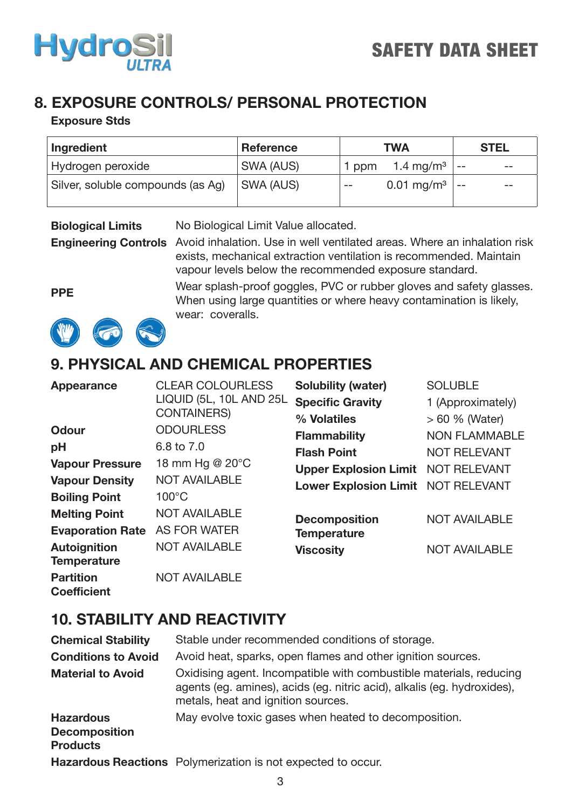

### **8. EXPOSURE CONTROLS/ PERSONAL PROTECTION**

#### **Exposure Stds**

| Ingredient                        | <b>Reference</b> | <b>TWA</b>                        | <b>STEL</b> |
|-----------------------------------|------------------|-----------------------------------|-------------|
| Hydrogen peroxide                 | SWA (AUS)        | 1.4 mg/m <sup>3</sup><br>ppm      | $- -$       |
| Silver, soluble compounds (as Ag) | <b>SWA (AUS)</b> | $0.01 \,\mathrm{mg/m^3}$<br>$- -$ | $- -$       |

**Biological Limits** No Biological Limit Value allocated.

**Engineering Controls** Avoid inhalation. Use in well ventilated areas. Where an inhalation risk exists, mechanical extraction ventilation is recommended. Maintain vapour levels below the recommended exposure standard.

> Wear splash-proof goggles, PVC or rubber gloves and safety glasses. When using large quantities or where heavy contamination is likely,

**PPE**





### **9. PHYSICAL AND CHEMICAL PROPERTIES**

wear: coveralls.

| Appearance              | <b>CLEAR COLOURLESS</b> | <b>Solubility (water)</b>                 | <b>SOLUBLE</b>       |
|-------------------------|-------------------------|-------------------------------------------|----------------------|
|                         | LIQUID (5L, 10L AND 25L | <b>Specific Gravity</b>                   | 1 (Approximately)    |
|                         | <b>CONTAINERS)</b>      | % Volatiles                               | $>60$ % (Water)      |
| <b>Odour</b>            | <b>ODOURLESS</b>        | <b>Flammability</b>                       | <b>NON FLAMMABLE</b> |
| pH                      | 6.8 to 7.0              | <b>Flash Point</b>                        | <b>NOT RELEVANT</b>  |
| <b>Vapour Pressure</b>  | 18 mm Hg @ 20°C         | <b>Upper Explosion Limit NOT RELEVANT</b> |                      |
| <b>Vapour Density</b>   | <b>NOT AVAILABLE</b>    | Lower Explosion Limit NOT RELEVANT        |                      |
| <b>Boiling Point</b>    | $100^{\circ}$ C         |                                           |                      |
| <b>Melting Point</b>    | <b>NOT AVAILABLE</b>    | <b>Decomposition</b>                      | <b>NOT AVAILABLE</b> |
| <b>Evaporation Rate</b> | <b>AS FOR WATER</b>     | <b>Temperature</b>                        |                      |
| <b>Autoignition</b>     | <b>NOT AVAILABLE</b>    | <b>Viscosity</b>                          | <b>NOT AVAILABLE</b> |
| <b>Temperature</b>      |                         |                                           |                      |
| <b>Partition</b>        | <b>NOT AVAILABLE</b>    |                                           |                      |
| <b>Coefficient</b>      |                         |                                           |                      |

### **10. STABILITY AND REACTIVITY**

| <b>Chemical Stability</b>               | Stable under recommended conditions of storage.                                                                                                                                     |
|-----------------------------------------|-------------------------------------------------------------------------------------------------------------------------------------------------------------------------------------|
| <b>Conditions to Avoid</b>              | Avoid heat, sparks, open flames and other ignition sources.                                                                                                                         |
| <b>Material to Avoid</b>                | Oxidising agent. Incompatible with combustible materials, reducing<br>agents (eg. amines), acids (eg. nitric acid), alkalis (eg. hydroxides),<br>metals, heat and ignition sources. |
| <b>Hazardous</b>                        | May evolve toxic gases when heated to decomposition.                                                                                                                                |
| <b>Decomposition</b><br><b>Products</b> |                                                                                                                                                                                     |
|                                         | Hazardous Reactions Polymerization is not expected to occur.                                                                                                                        |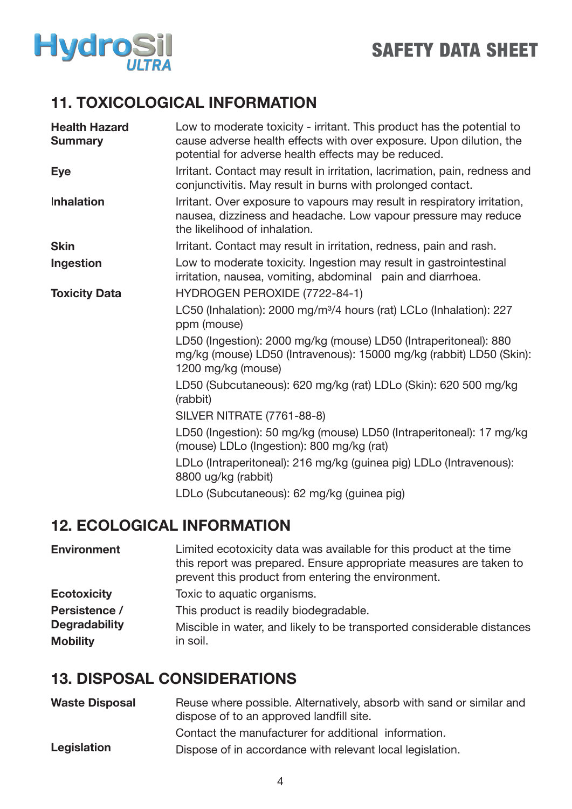

# SAFETY DATA SHEET

### **11. TOXICOLOGICAL INFORMATION**

| <b>Health Hazard</b><br><b>Summary</b> | Low to moderate toxicity - irritant. This product has the potential to<br>cause adverse health effects with over exposure. Upon dilution, the<br>potential for adverse health effects may be reduced. |
|----------------------------------------|-------------------------------------------------------------------------------------------------------------------------------------------------------------------------------------------------------|
| <b>Eye</b>                             | Irritant. Contact may result in irritation, lacrimation, pain, redness and<br>conjunctivitis. May result in burns with prolonged contact.                                                             |
| Inhalation                             | Irritant. Over exposure to vapours may result in respiratory irritation,<br>nausea, dizziness and headache. Low vapour pressure may reduce<br>the likelihood of inhalation.                           |
| <b>Skin</b>                            | Irritant. Contact may result in irritation, redness, pain and rash.                                                                                                                                   |
| Ingestion                              | Low to moderate toxicity. Ingestion may result in gastrointestinal<br>irritation, nausea, vomiting, abdominal pain and diarrhoea.                                                                     |
| <b>Toxicity Data</b>                   | HYDROGEN PEROXIDE (7722-84-1)                                                                                                                                                                         |
|                                        | LC50 (Inhalation): 2000 mg/m <sup>3</sup> /4 hours (rat) LCLo (Inhalation): 227<br>ppm (mouse)                                                                                                        |
|                                        | LD50 (Ingestion): 2000 mg/kg (mouse) LD50 (Intraperitoneal): 880<br>mg/kg (mouse) LD50 (Intravenous): 15000 mg/kg (rabbit) LD50 (Skin):<br>1200 mg/kg (mouse)                                         |
|                                        | LD50 (Subcutaneous): 620 mg/kg (rat) LDLo (Skin): 620 500 mg/kg<br>(rabbit)                                                                                                                           |
|                                        | <b>SILVER NITRATE (7761-88-8)</b>                                                                                                                                                                     |
|                                        | LD50 (Ingestion): 50 mg/kg (mouse) LD50 (Intraperitoneal): 17 mg/kg<br>(mouse) LDLo (Ingestion): 800 mg/kg (rat)                                                                                      |
|                                        | LDLo (Intraperitoneal): 216 mg/kg (guinea pig) LDLo (Intravenous):<br>8800 ug/kg (rabbit)                                                                                                             |
|                                        | LDLo (Subcutaneous): 62 mg/kg (guinea pig)                                                                                                                                                            |

### **12. ECOLOGICAL INFORMATION**

| <b>Environment</b>   | Limited ecotoxicity data was available for this product at the time<br>this report was prepared. Ensure appropriate measures are taken to<br>prevent this product from entering the environment. |
|----------------------|--------------------------------------------------------------------------------------------------------------------------------------------------------------------------------------------------|
| <b>Ecotoxicity</b>   | Toxic to aquatic organisms.                                                                                                                                                                      |
| Persistence /        | This product is readily biodegradable.                                                                                                                                                           |
| <b>Degradability</b> | Miscible in water, and likely to be transported considerable distances                                                                                                                           |
| <b>Mobility</b>      | in soil.                                                                                                                                                                                         |

## **13. DISPOSAL CONSIDERATIONS**

| <b>Waste Disposal</b> | Reuse where possible. Alternatively, absorb with sand or similar and<br>dispose of to an approved landfill site. |
|-----------------------|------------------------------------------------------------------------------------------------------------------|
|                       | Contact the manufacturer for additional information.                                                             |
| Legislation           | Dispose of in accordance with relevant local legislation.                                                        |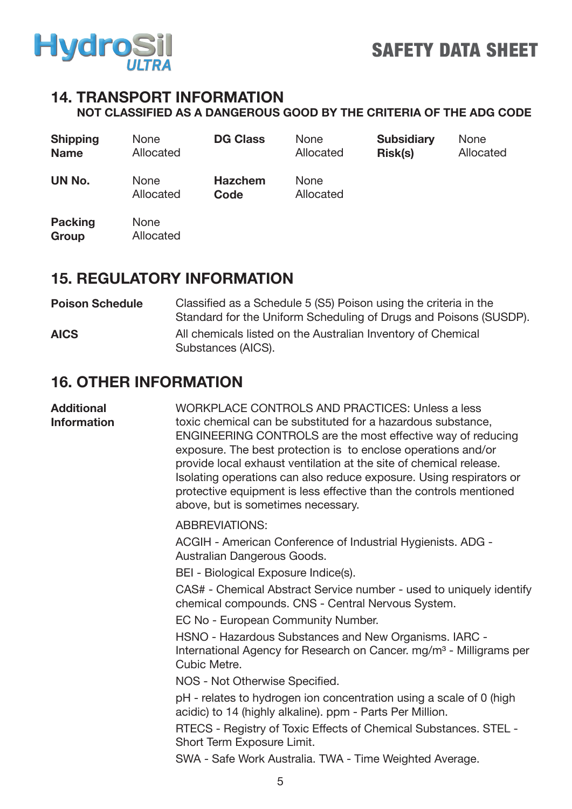

#### **14. TRANSPORT INFORMATION NOT CLASSIFIED AS A DANGEROUS GOOD BY THE CRITERIA OF THE ADG CODE**

| <b>Shipping</b><br><b>Name</b> | <b>None</b><br>Allocated | <b>DG Class</b>        | <b>None</b><br>Allocated | <b>Subsidiary</b><br>Risk(s) | <b>None</b><br>Allocated |
|--------------------------------|--------------------------|------------------------|--------------------------|------------------------------|--------------------------|
| UN No.                         | <b>None</b><br>Allocated | <b>Hazchem</b><br>Code | <b>None</b><br>Allocated |                              |                          |
| <b>Packing</b><br>Group        | <b>None</b><br>Allocated |                        |                          |                              |                          |

### **15. REGULATORY INFORMATION**

#### **Poison Schedule AICS** Classified as a Schedule 5 (S5) Poison using the criteria in the Standard for the Uniform Scheduling of Drugs and Poisons (SUSDP). All chemicals listed on the Australian Inventory of Chemical Substances (AICS).

### **16. OTHER INFORMATION**

| <b>Additional</b><br><b>Information</b> | WORKPLACE CONTROLS AND PRACTICES: Unless a less<br>toxic chemical can be substituted for a hazardous substance,<br>ENGINEERING CONTROLS are the most effective way of reducing<br>exposure. The best protection is to enclose operations and/or<br>provide local exhaust ventilation at the site of chemical release.<br>Isolating operations can also reduce exposure. Using respirators or<br>protective equipment is less effective than the controls mentioned<br>above, but is sometimes necessary. |
|-----------------------------------------|----------------------------------------------------------------------------------------------------------------------------------------------------------------------------------------------------------------------------------------------------------------------------------------------------------------------------------------------------------------------------------------------------------------------------------------------------------------------------------------------------------|
|                                         | <b>ABBREVIATIONS:</b>                                                                                                                                                                                                                                                                                                                                                                                                                                                                                    |
|                                         | ACGIH - American Conference of Industrial Hygienists. ADG -<br>Australian Dangerous Goods.                                                                                                                                                                                                                                                                                                                                                                                                               |
|                                         | BEI - Biological Exposure Indice(s).                                                                                                                                                                                                                                                                                                                                                                                                                                                                     |
|                                         | CAS# - Chemical Abstract Service number - used to uniquely identify<br>chemical compounds. CNS - Central Nervous System.                                                                                                                                                                                                                                                                                                                                                                                 |
|                                         | EC No - European Community Number.                                                                                                                                                                                                                                                                                                                                                                                                                                                                       |
|                                         | HSNO - Hazardous Substances and New Organisms. IARC -<br>International Agency for Research on Cancer. mg/m <sup>3</sup> - Milligrams per<br>Cubic Metre.                                                                                                                                                                                                                                                                                                                                                 |
|                                         | NOS - Not Otherwise Specified.                                                                                                                                                                                                                                                                                                                                                                                                                                                                           |
|                                         | pH - relates to hydrogen ion concentration using a scale of 0 (high<br>acidic) to 14 (highly alkaline). ppm - Parts Per Million.                                                                                                                                                                                                                                                                                                                                                                         |
|                                         | RTECS - Registry of Toxic Effects of Chemical Substances. STEL -<br>Short Term Exposure Limit.                                                                                                                                                                                                                                                                                                                                                                                                           |
|                                         | SWA - Safe Work Australia. TWA - Time Weighted Average.                                                                                                                                                                                                                                                                                                                                                                                                                                                  |